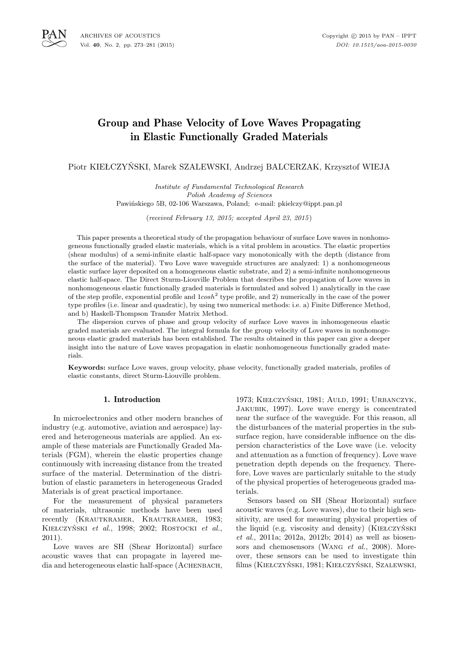

# Group and Phase Velocity of Love Waves Propagating in Elastic Functionally Graded Materials

Piotr KIEŁCZYŃSKI, Marek SZALEWSKI, Andrzej BALCERZAK, Krzysztof WIEJA

*Institute of Fundamental Technological Research Polish Academy of Sciences* Pawińskiego 5B, 02-106 Warszawa, Poland; e-mail: pkielczy@ippt.pan.pl

(*received February 13, 2015; accepted April 23, 2015*)

This paper presents a theoretical study of the propagation behaviour of surface Love waves in nonhomogeneous functionally graded elastic materials, which is a vital problem in acoustics. The elastic properties (shear modulus) of a semi-infinite elastic half-space vary monotonically with the depth (distance from the surface of the material). Two Love wave waveguide structures are analyzed: 1) a nonhomogeneous elastic surface layer deposited on a homogeneous elastic substrate, and 2) a semi-infinite nonhomogeneous elastic half-space. The Direct Sturm-Liouville Problem that describes the propagation of Love waves in nonhomogeneous elastic functionally graded materials is formulated and solved 1) analytically in the case of the step profile, exponential profile and  $1\cosh^2$  type profile, and 2) numerically in the case of the power type profiles (i.e. linear and quadratic), by using two numerical methods: i.e. a) Finite Difference Method, and b) Haskell-Thompson Transfer Matrix Method.

The dispersion curves of phase and group velocity of surface Love waves in inhomogeneous elastic graded materials are evaluated. The integral formula for the group velocity of Love waves in nonhomogeneous elastic graded materials has been established. The results obtained in this paper can give a deeper insight into the nature of Love waves propagation in elastic nonhomogeneous functionally graded materials.

**Keywords:** surface Love waves, group velocity, phase velocity, functionally graded materials, profiles of elastic constants, direct Sturm-Liouville problem.

# 1. Introduction

In microelectronics and other modern branches of industry (e.g. automotive, aviation and aerospace) layered and heterogeneous materials are applied. An example of these materials are Functionally Graded Materials (FGM), wherein the elastic properties change continuously with increasing distance from the treated surface of the material. Determination of the distribution of elastic parameters in heterogeneous Graded Materials is of great practical importance.

For the measurement of physical parameters of materials, ultrasonic methods have been used recently (KRAUTKRAMER, KRAUTKRAMER, 1983; Kiełczyński *et al.*, 1998; 2002; Rostocki *et al.*, 2011).

Love waves are SH (Shear Horizontal) surface acoustic waves that can propagate in layered media and heterogeneous elastic half-space (Achenbach, 1973; Kiełczyński, 1981; Auld, 1991; Urbanczyk, Jakubik, 1997). Love wave energy is concentrated near the surface of the waveguide. For this reason, all the disturbances of the material properties in the subsurface region, have considerable influence on the dispersion characteristics of the Love wave (i.e. velocity and attenuation as a function of frequency). Love wave penetration depth depends on the frequency. Therefore, Love waves are particularly suitable to the study of the physical properties of heterogeneous graded materials.

Sensors based on SH (Shear Horizontal) surface acoustic waves (e.g. Love waves), due to their high sensitivity, are used for measuring physical properties of the liquid (e.g. viscosity and density) (KIEŁCZYŃSKI *et al.*, 2011a; 2012a, 2012b; 2014) as well as biosensors and chemosensors (Wang *et al.*, 2008). Moreover, these sensors can be used to investigate thin films (Kiełczyński, 1981; Kiełczyński, Szalewski,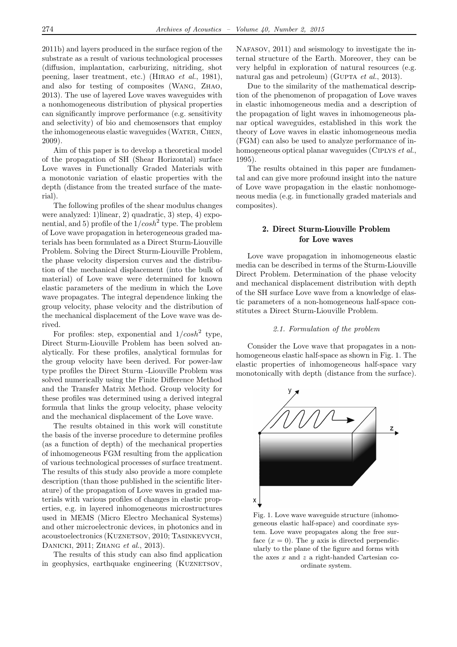2011b) and layers produced in the surface region of the substrate as a result of various technological processes (diffusion, implantation, carburizing, nitriding, shot peening, laser treatment, etc.) (Hirao *et al.*, 1981), and also for testing of composites (Wang, Zhao, 2013). The use of layered Love waves waveguides with a nonhomogeneous distribution of physical properties can significantly improve performance (e.g. sensitivity and selectivity) of bio and chemosensors that employ the inhomogeneous elastic waveguides (WATER, CHEN, 2009).

Aim of this paper is to develop a theoretical model of the propagation of SH (Shear Horizontal) surface Love waves in Functionally Graded Materials with a monotonic variation of elastic properties with the depth (distance from the treated surface of the material).

The following profiles of the shear modulus changes were analyzed: 1)linear, 2) quadratic, 3) step, 4) exponential, and 5) profile of the  $1/cosh^2$  type. The problem of Love wave propagation in heterogeneous graded materials has been formulated as a Direct Sturm-Liouville Problem. Solving the Direct Sturm-Liouville Problem, the phase velocity dispersion curves and the distribution of the mechanical displacement (into the bulk of material) of Love wave were determined for known elastic parameters of the medium in which the Love wave propagates. The integral dependence linking the group velocity, phase velocity and the distribution of the mechanical displacement of the Love wave was derived.

For profiles: step, exponential and  $1/cosh<sup>2</sup>$  type, Direct Sturm-Liouville Problem has been solved analytically. For these profiles, analytical formulas for the group velocity have been derived. For power-law type profiles the Direct Sturm -Liouville Problem was solved numerically using the Finite Difference Method and the Transfer Matrix Method. Group velocity for these profiles was determined using a derived integral formula that links the group velocity, phase velocity and the mechanical displacement of the Love wave.

The results obtained in this work will constitute the basis of the inverse procedure to determine profiles (as a function of depth) of the mechanical properties of inhomogeneous FGM resulting from the application of various technological processes of surface treatment. The results of this study also provide a more complete description (than those published in the scientific literature) of the propagation of Love waves in graded materials with various profiles of changes in elastic properties, e.g. in layered inhomogeneous microstructures used in MEMS (Micro Electro Mechanical Systems) and other microelectronic devices, in photonics and in acoustoelectronics (KUZNETSOV, 2010; TASINKEVYCH, Danicki, 2011; Zhang *et al.*, 2013).

The results of this study can also find application in geophysics, earthquake engineering (KUZNETSOV, Nafasov, 2011) and seismology to investigate the internal structure of the Earth. Moreover, they can be very helpful in exploration of natural resources (e.g. natural gas and petroleum) (GUPTA *et al.*, 2013).

Due to the similarity of the mathematical description of the phenomenon of propagation of Love waves in elastic inhomogeneous media and a description of the propagation of light waves in inhomogeneous planar optical waveguides, established in this work the theory of Love waves in elastic inhomogeneous media (FGM) can also be used to analyze performance of inhomogeneous optical planar waveguides (Ciplys *et al.*, 1995).

The results obtained in this paper are fundamental and can give more profound insight into the nature of Love wave propagation in the elastic nonhomogeneous media (e.g. in functionally graded materials and composites).

# 2. Direct Sturm-Liouville Problem for Love waves

Love wave propagation in inhomogeneous elastic media can be described in terms of the Sturm-Liouville Direct Problem. Determination of the phase velocity and mechanical displacement distribution with depth of the SH surface Love wave from a knowledge of elastic parameters of a non-homogeneous half-space constitutes a Direct Sturm-Liouville Problem.

#### *2.1. Formulation of the problem*

Consider the Love wave that propagates in a nonhomogeneous elastic half-space as shown in Fig. 1. The elastic properties of inhomogeneous half-space vary monotonically with depth (distance from the surface).



Fig. 1. Love wave waveguide structure (inhomogeneous elastic half-space) and coordinate system. Love wave propagates along the free surface  $(x = 0)$ . The y axis is directed perpendicularly to the plane of the figure and forms with the axes  $x$  and  $z$  a right-handed Cartesian coordinate system.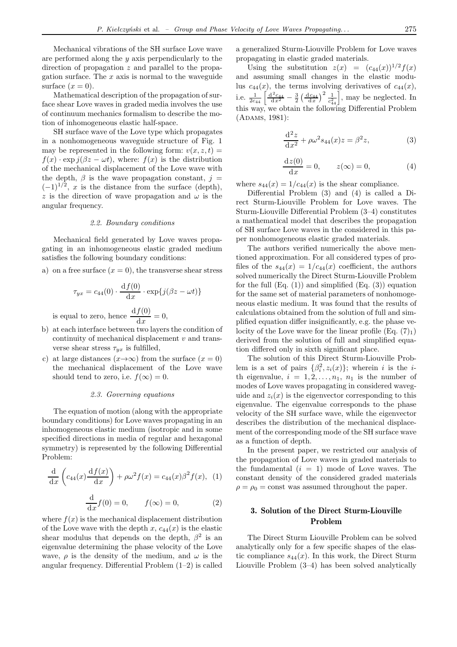Mathematical description of the propagation of surface shear Love waves in graded media involves the use of continuum mechanics formalism to describe the motion of inhomogeneous elastic half-space.

SH surface wave of the Love type which propagates in a nonhomogeneous waveguide structure of Fig. 1 may be represented in the following form:  $v(x, z, t) =$  $f(x) \cdot \exp i(\beta z - \omega t)$ , where:  $f(x)$  is the distribution of the mechanical displacement of the Love wave with the depth,  $\beta$  is the wave propagation constant,  $j =$  $(-1)^{1/2}$ , x is the distance from the surface (depth), z is the direction of wave propagation and  $\omega$  is the angular frequency.

#### *2.2. Boundary conditions*

Mechanical field generated by Love waves propagating in an inhomogeneous elastic graded medium satisfies the following boundary conditions:

a) on a free surface  $(x = 0)$ , the transverse shear stress

$$
\tau_{yx} = c_{44}(0) \cdot \frac{\mathrm{d}f(0)}{\mathrm{d}x} \cdot \exp\{j(\beta z - \omega t)\}
$$
  
is equal to zero, hence 
$$
\frac{\mathrm{d}f(0)}{\mathrm{d}x} = 0,
$$

 $dx$  $= 0,$ 

- b) at each interface between two layers the condition of continuity of mechanical displacement  $v$  and transverse shear stress  $\tau_{yx}$  is fulfilled,
- c) at large distances  $(x\rightarrow\infty)$  from the surface  $(x=0)$ the mechanical displacement of the Love wave should tend to zero, i.e.  $f(\infty) = 0$ .

#### *2.3. Governing equations*

The equation of motion (along with the appropriate boundary conditions) for Love waves propagating in an inhomogeneous elastic medium (isotropic and in some specified directions in media of regular and hexagonal symmetry) is represented by the following Differential Problem:

$$
\frac{\mathrm{d}}{\mathrm{d}x}\left(c_{44}(x)\frac{\mathrm{d}f(x)}{\mathrm{d}x}\right) + \rho\omega^2 f(x) = c_{44}(x)\beta^2 f(x), \tag{1}
$$

$$
\frac{\mathrm{d}}{\mathrm{d}x}f(0) = 0, \qquad f(\infty) = 0,\tag{2}
$$

where  $f(x)$  is the mechanical displacement distribution of the Love wave with the depth x,  $c_{44}(x)$  is the elastic shear modulus that depends on the depth,  $\beta^2$  is an eigenvalue determining the phase velocity of the Love wave,  $\rho$  is the density of the medium, and  $\omega$  is the angular frequency. Differential Problem (1–2) is called a generalized Sturm-Liouville Problem for Love waves propagating in elastic graded materials.

Using the substitution  $z(x) = (c_{44}(x))^{1/2} f(x)$ and assuming small changes in the elastic modulus  $c_{44}(x)$ , the terms involving derivatives of  $c_{44}(x)$ , i.e.  $\frac{1}{2c_{44}} \left[ \frac{d^2 c_{44}}{dx^2} - \frac{3}{2} \left( \frac{d c_{44}}{dx} \right)^2 \frac{1}{c_{44}^2} \right]$ , may be neglected. In this way, we obtain the following Differential Problem (Adams, 1981):

$$
\frac{d^2z}{dx^2} + \rho \omega^2 s_{44}(x) z = \beta^2 z,
$$
 (3)

$$
\frac{\mathrm{d}z(0)}{\mathrm{d}x} = 0, \qquad z(\infty) = 0,\tag{4}
$$

where  $s_{44}(x) = 1/c_{44}(x)$  is the shear compliance.

Differential Problem (3) and (4) is called a Direct Sturm-Liouville Problem for Love waves. The Sturm-Liouville Differential Problem (3–4) constitutes a mathematical model that describes the propagation of SH surface Love waves in the considered in this paper nonhomogeneous elastic graded materials.

The authors verified numerically the above mentioned approximation. For all considered types of profiles of the  $s_{44}(x) = 1/c_{44}(x)$  coefficient, the authors solved numerically the Direct Sturm-Liouville Problem for the full  $(Eq. (1))$  and simplified  $(Eq. (3))$  equation for the same set of material parameters of nonhomogeneous elastic medium. It was found that the results of calculations obtained from the solution of full and simplified equation differ insignificantly, e.g. the phase velocity of the Love wave for the linear profile  $(Eq. (7)<sub>1</sub>)$ derived from the solution of full and simplified equation differed only in sixth significant place.

The solution of this Direct Sturm-Liouville Problem is a set of pairs  $\{\beta_i^2, z_i(x)\}$ ; wherein *i* is the *i*th eigenvalue,  $i = 1, 2, \ldots, n_1, n_1$  is the number of modes of Love waves propagating in considered waveguide and  $z<sub>i</sub>(x)$  is the eigenvector corresponding to this eigenvalue. The eigenvalue corresponds to the phase velocity of the SH surface wave, while the eigenvector describes the distribution of the mechanical displacement of the corresponding mode of the SH surface wave as a function of depth.

In the present paper, we restricted our analysis of the propagation of Love waves in graded materials to the fundamental  $(i = 1)$  mode of Love waves. The constant density of the considered graded materials  $\rho = \rho_0 = \text{const}$  was assumed throughout the paper.

# 3. Solution of the Direct Sturm-Liouville Problem

The Direct Sturm Liouville Problem can be solved analytically only for a few specific shapes of the elastic compliance  $s_{44}(x)$ . In this work, the Direct Sturm Liouville Problem (3–4) has been solved analytically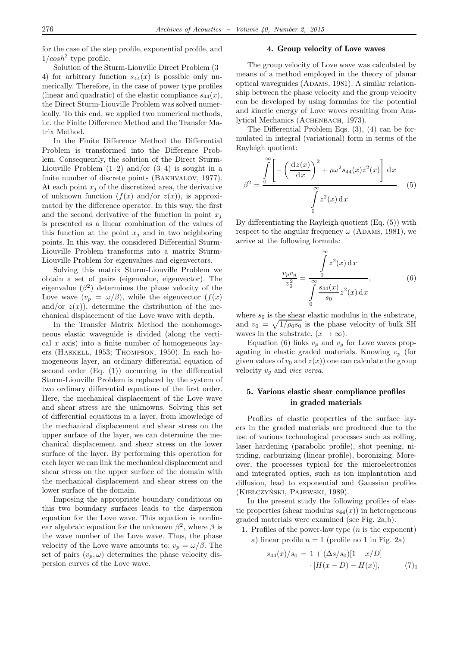for the case of the step profile, exponential profile, and  $1/cosh<sup>2</sup>$  type profile.

Solution of the Sturm-Liouville Direct Problem (3– 4) for arbitrary function  $s_{44}(x)$  is possible only numerically. Therefore, in the case of power type profiles (linear and quadratic) of the elastic compliance  $s_{44}(x)$ , the Direct Sturm-Liouville Problem was solved numerically. To this end, we applied two numerical methods, i.e. the Finite Difference Method and the Transfer Matrix Method.

In the Finite Difference Method the Differential Problem is transformed into the Difference Problem. Consequently, the solution of the Direct Sturm-Liouville Problem  $(1-2)$  and/or  $(3-4)$  is sought in a finite number of discrete points (Bakhvalov, 1977). At each point  $x_i$  of the discretized area, the derivative of unknown function  $(f(x) \text{ and/or } z(x))$ , is approximated by the difference operator. In this way, the first and the second derivative of the function in point  $x_i$ is presented as a linear combination of the values of this function at the point  $x_i$  and in two neighboring points. In this way, the considered Differential Sturm-Liouville Problem transforms into a matrix Sturm-Liouville Problem for eigenvalues and eigenvectors.

Solving this matrix Sturm-Liouville Problem we obtain a set of pairs (eigenvalue, eigenvector). The eigenvalue  $(\beta^2)$  determines the phase velocity of the Love wave  $(v_p = \omega/\beta)$ , while the eigenvector  $(f(x))$ and/or  $z(x)$ , determine the distribution of the mechanical displacement of the Love wave with depth.

In the Transfer Matrix Method the nonhomogeneous elastic waveguide is divided (along the vertical  $x$  axis) into a finite number of homogeneous layers (Haskell, 1953; Thompson, 1950). In each homogeneous layer, an ordinary differential equation of second order  $(Eq. (1))$  occurring in the differential Sturm-Liouville Problem is replaced by the system of two ordinary differential equations of the first order. Here, the mechanical displacement of the Love wave and shear stress are the unknowns. Solving this set of differential equations in a layer, from knowledge of the mechanical displacement and shear stress on the upper surface of the layer, we can determine the mechanical displacement and shear stress on the lower surface of the layer. By performing this operation for each layer we can link the mechanical displacement and shear stress on the upper surface of the domain with the mechanical displacement and shear stress on the lower surface of the domain.

Imposing the appropriate boundary conditions on this two boundary surfaces leads to the dispersion equation for the Love wave. This equation is nonlinear algebraic equation for the unknown  $\beta^2$ , where  $\beta$  is the wave number of the Love wave. Thus, the phase velocity of the Love wave amounts to:  $v_p = \omega/\beta$ . The set of pairs  $(v_p, \omega)$  determines the phase velocity dispersion curves of the Love wave.

### 4. Group velocity of Love waves

The group velocity of Love wave was calculated by means of a method employed in the theory of planar optical waveguides (Adams, 1981). A similar relationship between the phase velocity and the group velocity can be developed by using formulas for the potential and kinetic energy of Love waves resulting from Analytical Mechanics (ACHENBACH, 1973).

The Differential Problem Eqs. (3), (4) can be formulated in integral (variational) form in terms of the Rayleigh quotient:

$$
\beta^2 = \frac{\int\limits_{0}^{\infty} \left[ -\left(\frac{dz(x)}{dx}\right)^2 + \rho \omega^2 s_{44}(x) z^2(x) \right] dx}{\int\limits_{0}^{\infty} z^2(x) dx}.
$$
 (5)

By differentiating the Rayleigh quotient (Eq. (5)) with respect to the angular frequency  $\omega$  (ADAMS, 1981), we arrive at the following formula:

$$
\frac{v_p v_g}{v_0^2} = \frac{\int\limits_0^\infty z^2(x) \, \mathrm{d}x}{\int\limits_0^\infty \frac{s_{44}(x)}{s_0} z^2(x) \, \mathrm{d}x},\tag{6}
$$

where  $s_0$  is the shear elastic modulus in the substrate, and  $v_0 = \sqrt{1/\rho_0 s_0}$  is the phase velocity of bulk SH waves in the substrate,  $(x \to \infty)$ .

Equation (6) links  $v_p$  and  $v_g$  for Love waves propagating in elastic graded materials. Knowing  $v_p$  (for given values of  $v_0$  and  $z(x)$  one can calculate the group velocity v<sup>g</sup> and *vice versa*.

# 5. Various elastic shear compliance profiles in graded materials

Profiles of elastic properties of the surface layers in the graded materials are produced due to the use of various technological processes such as rolling, laser hardening (parabolic profile), shot peening, nitriding, carburizing (linear profile), boronizing. Moreover, the processes typical for the microelectronics and integrated optics, such as ion implantation and diffusion, lead to exponential and Gaussian profiles (Kiełczyński, Pajewski, 1989).

In the present study the following profiles of elastic properties (shear modulus  $s_{44}(x)$ ) in heterogeneous graded materials were examined (see Fig. 2a,b).

1. Profiles of the power-law type  $(n \text{ is the exponent})$ a) linear profile  $n = 1$  (profile no 1 in Fig. 2a)

$$
s_{44}(x)/s_0 = 1 + (\Delta s/s_0)[1 - x/D] \cdot [H(x - D) - H(x)], \tag{7}_1
$$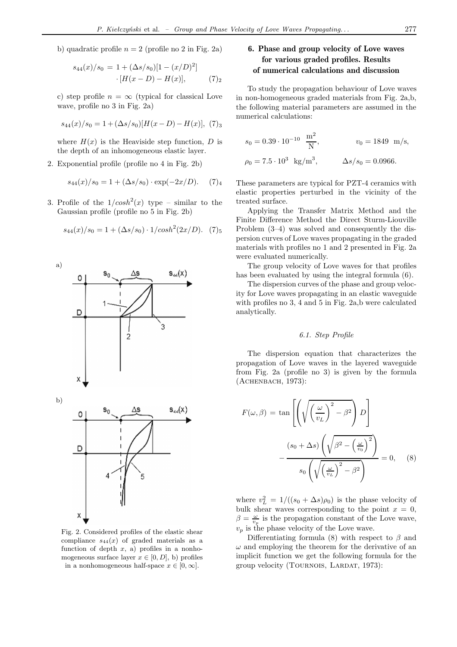b) quadratic profile  $n = 2$  (profile no 2 in Fig. 2a)

$$
s_{44}(x)/s_0 = 1 + (\Delta s/s_0)[1 - (x/D)^2]
$$

$$
\cdot [H(x - D) - H(x)], \qquad (7)_2
$$

c) step profile  $n = \infty$  (typical for classical Love wave, profile no 3 in Fig. 2a)

$$
s_{44}(x)/s_0 = 1 + (\Delta s/s_0)[H(x-D) - H(x)], (7)_3
$$

where  $H(x)$  is the Heaviside step function, D is the depth of an inhomogeneous elastic layer.

2. Exponential profile (profile no 4 in Fig. 2b)

$$
s_{44}(x)/s_0 = 1 + (\Delta s/s_0) \cdot \exp(-2x/D). \quad (7)_4
$$

3. Profile of the  $1/cosh<sup>2</sup>(x)$  type – similar to the Gaussian profile (profile no 5 in Fig. 2b)

$$
s_{44}(x)/s_0 = 1 + (\Delta s/s_0) \cdot 1/cosh^2(2x/D). \tag{7}_5
$$







Fig. 2. Considered profiles of the elastic shear compliance  $s_{44}(x)$  of graded materials as a function of depth  $x$ , a) profiles in a nonhomogeneous surface layer  $x\in[0,D],$  b) profiles in a nonhomogeneous half-space  $x \in [0, \infty]$ .

# 6. Phase and group velocity of Love waves for various graded profiles. Results of numerical calculations and discussion

To study the propagation behaviour of Love waves in non-homogeneous graded materials from Fig. 2a,b, the following material parameters are assumed in the numerical calculations:

$$
s_0 = 0.39 \cdot 10^{-10} \frac{m^2}{N},
$$
  $v_0 = 1849 \text{ m/s},$   
 $\rho_0 = 7.5 \cdot 10^3 \text{ kg/m}^3,$   $\Delta s/s_0 = 0.0966.$ 

These parameters are typical for PZT-4 ceramics with elastic properties perturbed in the vicinity of the treated surface.

Applying the Transfer Matrix Method and the Finite Difference Method the Direct Sturm-Liouville Problem (3–4) was solved and consequently the dispersion curves of Love waves propagating in the graded materials with profiles no 1 and 2 presented in Fig. 2a were evaluated numerically.

The group velocity of Love waves for that profiles has been evaluated by using the integral formula (6).

The dispersion curves of the phase and group velocity for Love waves propagating in an elastic waveguide with profiles no 3, 4 and 5 in Fig. 2a, b were calculated analytically.

## *6.1. Step Profile*

The dispersion equation that characterizes the propagation of Love waves in the layered waveguide from Fig. 2a (profile no 3) is given by the formula (ACHENBACH, 1973):

$$
F(\omega, \beta) = \tan \left[ \left( \sqrt{\left( \frac{\omega}{v_L} \right)^2 - \beta^2} \right) D \right]
$$

$$
- \frac{(s_0 + \Delta s) \left( \sqrt{\beta^2 - \left( \frac{\omega}{v_0} \right)^2} \right)}{s_0 \left( \sqrt{\left( \frac{\omega}{v_L} \right)^2 - \beta^2} \right)} = 0, \quad (8)
$$

where  $v_L^2 = 1/((s_0 + \Delta s)\rho_0)$  is the phase velocity of bulk shear waves corresponding to the point  $x = 0$ ,  $\beta = \frac{\omega}{v_p}$  is the propagation constant of the Love wave,  $v_p$  is the phase velocity of the Love wave.

Differentiating formula (8) with respect to  $\beta$  and  $\omega$  and employing the theorem for the derivative of an implicit function we get the following formula for the group velocity (TOURNOIS, LARDAT, 1973):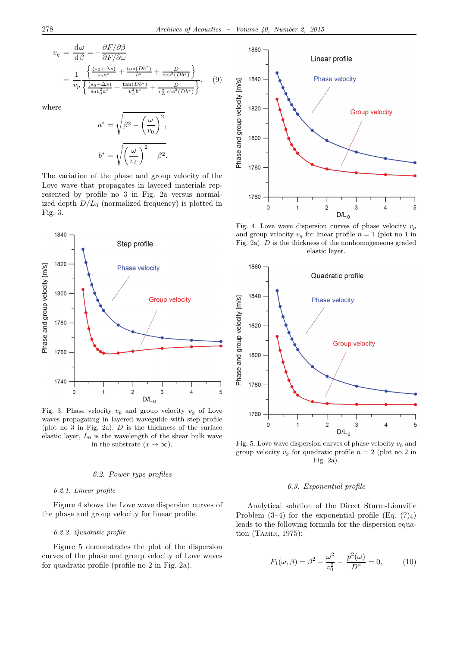$$
v_g = \frac{\mathrm{d}\omega}{\mathrm{d}\beta} = -\frac{\partial F/\partial \beta}{\partial F/\partial \omega}
$$
  
= 
$$
\frac{1}{v_p} \frac{\left\{ \frac{(s_0 + \Delta s)}{s_0 a^*} + \frac{\tan(Db^*)}{b^*} + \frac{D}{\cos^2(Db^*)} \right\}}{\left\{ \frac{(s_0 + \Delta s)}{s_0 v_0^2 a^*} + \frac{\tan(Db^*)}{v_L^2 b^*} + \frac{D}{v_L^2 \cos^2(Db^*)} \right\}}, \quad (9)
$$

where

$$
a^* = \sqrt{\beta^2 - \left(\frac{\omega}{v_0}\right)^2},
$$
  

$$
b^* = \sqrt{\left(\frac{\omega}{v_L}\right)^2 - \beta^2}.
$$

The variation of the phase and group velocity of the Love wave that propagates in layered materials represented by profile no 3 in Fig. 2a versus normalized depth  $D/L_0$  (normalized frequency) is plotted in Fig. 3.



Fig. 3. Phase velocity  $v_p$  and group velocity  $v_q$  of Love waves propagating in layered waveguide with step profile (plot no 3 in Fig. 2a).  $D$  is the thickness of the surface elastic layer,  $L_0$  is the wavelength of the shear bulk wave in the substrate  $(x \to \infty)$ .

## *6.2. Power type profiles*

#### *6.2.1. Linear profile*

Figure 4 shows the Love wave dispersion curves of the phase and group velocity for linear profile.

#### *6.2.2. Quadratic profile*

Figure 5 demonstrates the plot of the dispersion curves of the phase and group velocity of Love waves for quadratic profile (profile no 2 in Fig. 2a).



Fig. 4. Love wave dispersion curves of phase velocity  $v_p$ and group velocity  $v_q$  for linear profile  $n = 1$  (plot no 1 in Fig. 2a). D is the thickness of the nonhomogeneous graded elastic layer.



Fig. 5. Love wave dispersion curves of phase velocity  $v_p$  and group velocity  $v_g$  for quadratic profile  $n = 2$  (plot no 2 in Fig. 2a).

#### *6.3. Exponential profile*

Analytical solution of the Direct Sturm-Liouville Problem  $(3-4)$  for the exponential profile  $(Eq. (7)_4)$ leads to the following formula for the dispersion equation (TAMIR, 1975):

$$
F_1(\omega, \beta) = \beta^2 - \frac{\omega^2}{v_0^2} - \frac{p^2(\omega)}{D^2} = 0,
$$
 (10)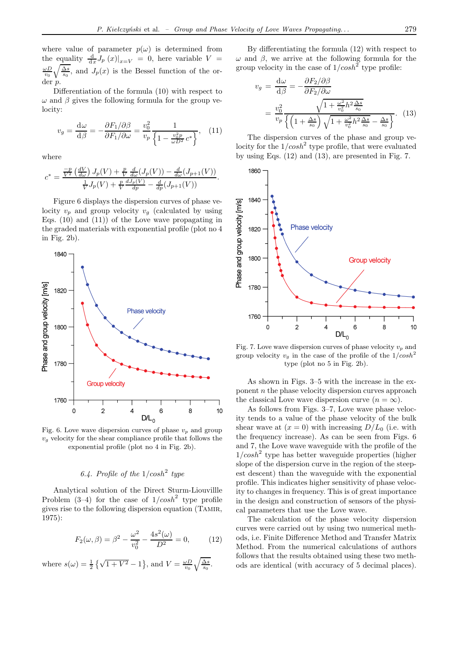where value of parameter  $p(\omega)$  is determined from the equality  $\frac{d}{dx}J_p(x)|_{x=V} = 0$ , here variable  $V =$  $\frac{\omega D}{v_0} \sqrt{\frac{\Delta s}{s_0}}$ , and  $J_p(x)$  is the Bessel function of the order p.

Differentiation of the formula (10) with respect to  $\omega$  and  $\beta$  gives the following formula for the group velocity:

$$
v_g = \frac{\mathrm{d}\omega}{\mathrm{d}\beta} = -\frac{\partial F_1/\partial \beta}{\partial F_1/\partial \omega} = \frac{v_0^2}{v_p} \frac{1}{\left\{1 - \frac{v_0^2 p}{\omega D^2} c^*\right\}},\tag{11}
$$

where

$$
c^* = \frac{\frac{-p}{V^2} \left( \frac{dV}{d\omega} \right) J_p(V) + \frac{p}{V} \frac{d}{d\omega} (J_p(V)) - \frac{d}{d\omega} (J_{p+1}(V))}{\frac{1}{V} J_p(V) + \frac{p}{V} \frac{dJ_p(V)}{dp} - \frac{d}{dp} (J_{p+1}(V))}.
$$

Figure 6 displays the dispersion curves of phase velocity  $v_p$  and group velocity  $v_g$  (calculated by using Eqs. (10) and (11)) of the Love wave propagating in the graded materials with exponential profile (plot no 4 in Fig. 2b).



Fig. 6. Love wave dispersion curves of phase  $v_p$  and group  $v_q$  velocity for the shear compliance profile that follows the exponential profile (plot no 4 in Fig. 2b).

# 6.4. Profile of the  $1/cosh^2$  type

Analytical solution of the Direct Sturm-Liouvillle Problem  $(3-4)$  for the case of  $1/cosh<sup>2</sup>$  type profile gives rise to the following dispersion equation (Tamir, 1975):

$$
F_2(\omega,\beta) = \beta^2 - \frac{\omega^2}{v_0^2} - \frac{4s^2(\omega)}{D^2} = 0,
$$
 (12)

where  $s(\omega) = \frac{1}{2} \left\{ \sqrt{1 + V^2} - 1 \right\}$ , and  $V = \frac{\omega D}{v_0} \sqrt{\frac{\Delta s}{s_0}}$ .

By differentiating the formula (12) with respect to  $ω$  and  $β$ , we arrive at the following formula for the group velocity in the case of  $1/cosh^2$  type profile:

$$
v_g = \frac{\mathrm{d}\omega}{\mathrm{d}\beta} = -\frac{\partial F_2/\partial\beta}{\partial F_2/\partial\omega}
$$

$$
= \frac{v_0^2}{v_p} \frac{\sqrt{1 + \frac{\omega^2}{v_0^2}h^2\frac{\Delta s}{s_0}}}{\left\{\left(1 + \frac{\Delta s}{s_0}\right)\sqrt{1 + \frac{\omega^2}{v_0^2}h^2\frac{\Delta s}{s_0}} - \frac{\Delta s}{s_0}\right\}}.\tag{13}
$$

The dispersion curves of the phase and group velocity for the  $1/cosh^2$  type profile, that were evaluated by using Eqs. (12) and (13), are presented in Fig. 7.



Fig. 7. Love wave dispersion curves of phase velocity  $v_p$  and group velocity  $v_q$  in the case of the profile of the  $1/cosh^2$ type (plot no 5 in Fig. 2b).

As shown in Figs. 3–5 with the increase in the exponent  $n$  the phase velocity dispersion curves approach the classical Love wave dispersion curve  $(n = \infty)$ .

As follows from Figs. 3–7, Love wave phase velocity tends to a value of the phase velocity of the bulk shear wave at  $(x = 0)$  with increasing  $D/L_0$  (i.e. with the frequency increase). As can be seen from Figs. 6 and 7, the Love wave waveguide with the profile of the  $1/cosh<sup>2</sup>$  type has better waveguide properties (higher slope of the dispersion curve in the region of the steepest descent) than the waveguide with the exponential profile. This indicates higher sensitivity of phase velocity to changes in frequency. This is of great importance in the design and construction of sensors of the physical parameters that use the Love wave.

The calculation of the phase velocity dispersion curves were carried out by using two numerical methods, i.e. Finite Difference Method and Transfer Matrix Method. From the numerical calculations of authors follows that the results obtained using these two methods are identical (with accuracy of 5 decimal places).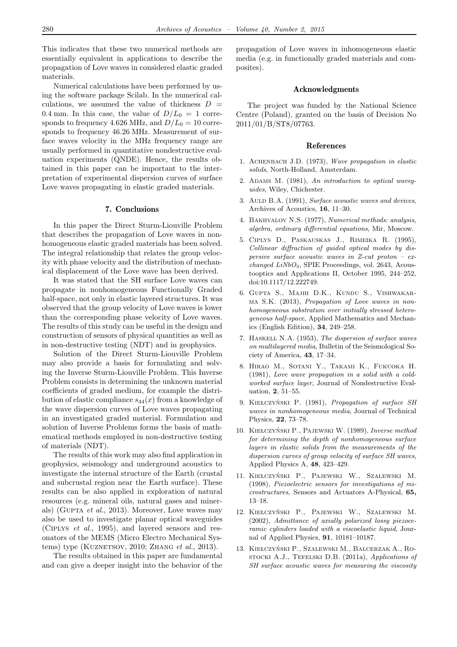This indicates that these two numerical methods are essentially equivalent in applications to describe the propagation of Love waves in considered elastic graded materials.

Numerical calculations have been performed by using the software package Scilab. In the numerical calculations, we assumed the value of thickness  $D =$ 0.4 mm. In this case, the value of  $D/L_0 = 1$  corresponds to frequency 4.626 MHz, and  $D/L_0 = 10$  corresponds to frequency 46.26 MHz. Measurement of surface waves velocity in the MHz frequency range are usually performed in quantitative nondestructive evaluation experiments (QNDE). Hence, the results obtained in this paper can be important to the interpretation of experimental dispersion curves of surface Love waves propagating in elastic graded materials.

## 7. Conclusions

In this paper the Direct Sturm-Liouville Problem that describes the propagation of Love waves in nonhomogeneous elastic graded materials has been solved. The integral relationship that relates the group velocity with phase velocity and the distribution of mechanical displacement of the Love wave has been derived.

It was stated that the SH surface Love waves can propagate in nonhomogeneous Functionally Graded half-space, not only in elastic layered structures. It was observed that the group velocity of Love waves is lower than the corresponding phase velocity of Love waves. The results of this study can be useful in the design and construction of sensors of physical quantities as well as in non-destructive testing (NDT) and in geophysics.

Solution of the Direct Sturm-Liouville Problem may also provide a basis for formulating and solving the Inverse Sturm-Liouville Problem. This Inverse Problem consists in determining the unknown material coefficients of graded medium, for example the distribution of elastic compliance  $s_{44}(x)$  from a knowledge of the wave dispersion curves of Love waves propagating in an investigated graded material. Formulation and solution of Inverse Problems forms the basis of mathematical methods employed in non-destructive testing of materials (NDT).

The results of this work may also find application in geophysics, seismology and underground acoustics to investigate the internal structure of the Earth (crustal and subcrustal region near the Earth surface). These results can be also applied in exploration of natural resources (e.g. mineral oils, natural gases and minerals) (Gupta *et al.*, 2013). Moreover, Love waves may also be used to investigate planar optical waveguides (Ciplys *et al*., 1995), and layered sensors and resonators of the MEMS (Micro Electro Mechanical Systems) type (KUZNETSOV, 2010; ZHANG *et al.*, 2013).

The results obtained in this paper are fundamental and can give a deeper insight into the behavior of the

propagation of Love waves in inhomogeneous elastic media (e.g. in functionally graded materials and composites).

## Acknowledgments

The project was funded by the National Science Centre (Poland), granted on the basis of Decision No 2011/01/B/ST8/07763.

#### References

- 1. Achenbach J.D. (1973), *Wave propagation in elastic solids*, North-Holland, Amsterdam.
- 2. Adams M. (1981), *An introduction to optical waveguides*, Wiley, Chichester.
- 3. Auld B.A. (1991), *Surface acoustic waves and devices*, Archives of Acoustics, **16**, 11–30.
- 4. Bakhvalov N.S. (1977), *Numerical methods: analysis, algebra, ordinary differential equations*, Mir, Moscow.
- 5. Ciplys D., Paskauskas J., Rimeika R. (1995), *Collinear diffraction of guided optical modes by dispersive surface acoustic waves in Z-cut proton – exchanged LiNbO*3, SPIE Proceedings, vol. 2643, Acoustooptics and Applications II, October 1995, 244–252, doi:10.1117/12.222749.
- 6. Gupta S., Majhi D.K., Kundu S., Vishwakarma S.K. (2013), *Propagation of Love waves in nonhomogeneous substratum over initially stressed heterogeneous half-space*, Applied Mathematics and Mechanics (English Edition), **34**, 249–258.
- 7. Haskell N.A. (1953), *The dispersion of surface waves on multilayered media*, Bulletin of the Seismological Society of America, **43**, 17–34.
- 8. Hirao M., Sotani Y., Takami K., Fukuoka H. (1981), *Love wave propagation in a solid with a coldworked surface layer*, Journal of Nondestructive Evaluation, **2**, 51–55.
- 9. Kiełczyński P. (1981), *Propagation of surface SH waves in nonhomogeneous media*, Journal of Technical Physics, **22**, 73–78.
- 10. Kiełczyński P., Pajewski W. (1989), *Inverse method for determining the depth of nonhomogeneous surface layers in elastic solids from the measurements of the dispersion curves of group velocity of surface SH waves*, Applied Physics A, **48**, 423–429.
- 11. Kiełczyński P., Pajewski W., Szalewski M. (1998), *Piezoelectric sensors for investigations of microstructures*, Sensors and Actuators A-Physical, **65,** 13–18.
- 12. Kiełczyński P., Pajewski W., Szalewski M. (2002), *Admittance of axially polarized lossy piezoceramic cylinders loaded with a viscoelastic liquid*, Journal of Applied Physics, **91**, 10181–10187.
- 13. Kiełczyński P., Szalewski M., Balcerzak A., Rostocki A.J., Tefelski D.B. (2011a), *Applications of SH surface acoustic waves for measuring the viscosity*